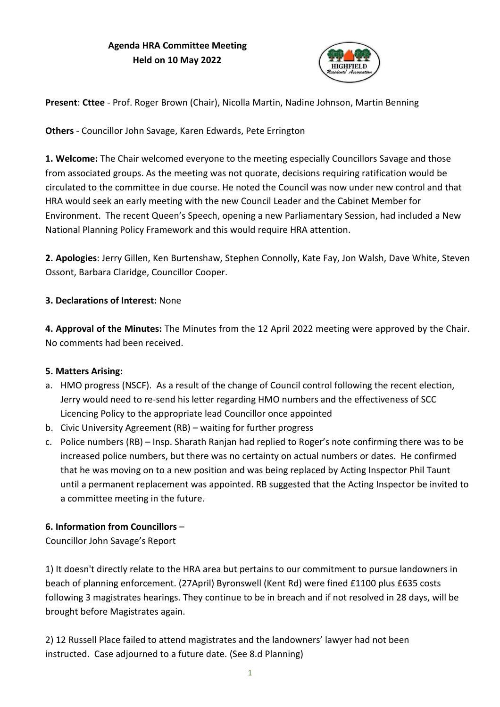# **Agenda HRA Committee Meeting Held on 10 May 2022**



**Present**: **Cttee** - Prof. Roger Brown (Chair), Nicolla Martin, Nadine Johnson, Martin Benning

**Others** - Councillor John Savage, Karen Edwards, Pete Errington

**1. Welcome:** The Chair welcomed everyone to the meeting especially Councillors Savage and those from associated groups. As the meeting was not quorate, decisions requiring ratification would be circulated to the committee in due course. He noted the Council was now under new control and that HRA would seek an early meeting with the new Council Leader and the Cabinet Member for Environment. The recent Queen's Speech, opening a new Parliamentary Session, had included a New National Planning Policy Framework and this would require HRA attention.

**2. Apologies**: Jerry Gillen, Ken Burtenshaw, Stephen Connolly, Kate Fay, Jon Walsh, Dave White, Steven Ossont, Barbara Claridge, Councillor Cooper.

### **3. Declarations of Interest:** None

**4. Approval of the Minutes:** The Minutes from the 12 April 2022 meeting were approved by the Chair. No comments had been received.

### **5. Matters Arising:**

- a. HMO progress (NSCF). As a result of the change of Council control following the recent election, Jerry would need to re-send his letter regarding HMO numbers and the effectiveness of SCC Licencing Policy to the appropriate lead Councillor once appointed
- b. Civic University Agreement (RB) waiting for further progress
- c. Police numbers (RB) Insp. Sharath Ranjan had replied to Roger's note confirming there was to be increased police numbers, but there was no certainty on actual numbers or dates. He confirmed that he was moving on to a new position and was being replaced by Acting Inspector Phil Taunt until a permanent replacement was appointed. RB suggested that the Acting Inspector be invited to a committee meeting in the future.

# **6. Information from Councillors** –

Councillor John Savage's Report

1) It doesn't directly relate to the HRA area but pertains to our commitment to pursue landowners in beach of planning enforcement. (27April) Byronswell (Kent Rd) were fined £1100 plus £635 costs following 3 magistrates hearings. They continue to be in breach and if not resolved in 28 days, will be brought before Magistrates again.

2) 12 Russell Place failed to attend magistrates and the landowners' lawyer had not been instructed. Case adjourned to a future date. (See 8.d Planning)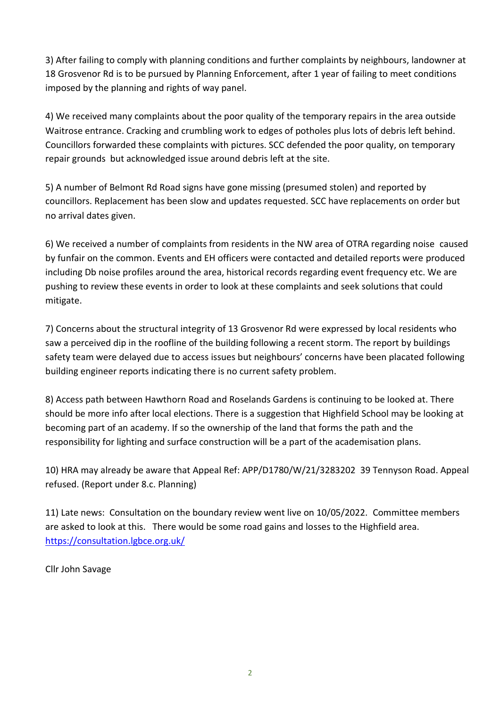3) After failing to comply with planning conditions and further complaints by neighbours, landowner at 18 Grosvenor Rd is to be pursued by Planning Enforcement, after 1 year of failing to meet conditions imposed by the planning and rights of way panel.

4) We received many complaints about the poor quality of the temporary repairs in the area outside Waitrose entrance. Cracking and crumbling work to edges of potholes plus lots of debris left behind. Councillors forwarded these complaints with pictures. SCC defended the poor quality, on temporary repair grounds but acknowledged issue around debris left at the site.

5) A number of Belmont Rd Road signs have gone missing (presumed stolen) and reported by councillors. Replacement has been slow and updates requested. SCC have replacements on order but no arrival dates given.

6) We received a number of complaints from residents in the NW area of OTRA regarding noise caused by funfair on the common. Events and EH officers were contacted and detailed reports were produced including Db noise profiles around the area, historical records regarding event frequency etc. We are pushing to review these events in order to look at these complaints and seek solutions that could mitigate.

7) Concerns about the structural integrity of 13 Grosvenor Rd were expressed by local residents who saw a perceived dip in the roofline of the building following a recent storm. The report by buildings safety team were delayed due to access issues but neighbours' concerns have been placated following building engineer reports indicating there is no current safety problem.

8) Access path between Hawthorn Road and Roselands Gardens is continuing to be looked at. There should be more info after local elections. There is a suggestion that Highfield School may be looking at becoming part of an academy. If so the ownership of the land that forms the path and the responsibility for lighting and surface construction will be a part of the academisation plans.

10) HRA may already be aware that Appeal Ref: APP/D1780/W/21/3283202 39 Tennyson Road. Appeal refused. (Report under 8.c. Planning)

11) Late news: Consultation on the boundary review went live on 10/05/2022. Committee members are asked to look at this. There would be some road gains and losses to the Highfield area. <https://consultation.lgbce.org.uk/>

Cllr John Savage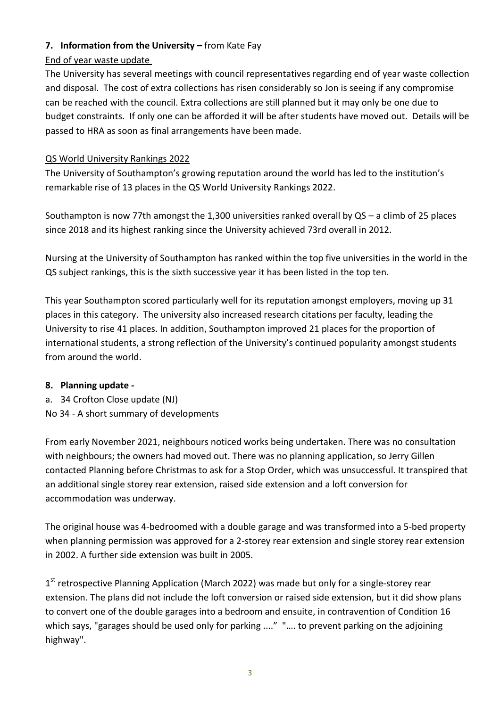# **7. Information from the University –** from Kate Fay

### End of year waste update

The University has several meetings with council representatives regarding end of year waste collection and disposal. The cost of extra collections has risen considerably so Jon is seeing if any compromise can be reached with the council. Extra collections are still planned but it may only be one due to budget constraints. If only one can be afforded it will be after students have moved out. Details will be passed to HRA as soon as final arrangements have been made.

### QS World University Rankings 2022

The University of Southampton's growing reputation around the world has led to the institution's remarkable rise of 13 places in the QS World University Rankings 2022.

Southampton is now 77th amongst the 1,300 universities ranked overall by QS – a climb of 25 places since 2018 and its highest ranking since the University achieved 73rd overall in 2012.

Nursing at the University of Southampton has ranked within the top five universities in the world in the QS subject rankings, this is the sixth successive year it has been listed in the top ten.

This year Southampton scored particularly well for its reputation amongst employers, moving up 31 places in this category. The university also increased research citations per faculty, leading the University to rise 41 places. In addition, Southampton improved 21 places for the proportion of international students, a strong reflection of the University's continued popularity amongst students from around the world.

### **8. Planning update -**

- a. 34 Crofton Close update (NJ)
- No 34 A short summary of developments

From early November 2021, neighbours noticed works being undertaken. There was no consultation with neighbours; the owners had moved out. There was no planning application, so Jerry Gillen contacted Planning before Christmas to ask for a Stop Order, which was unsuccessful. It transpired that an additional single storey rear extension, raised side extension and a loft conversion for accommodation was underway.

The original house was 4-bedroomed with a double garage and was transformed into a 5-bed property when planning permission was approved for a 2-storey rear extension and single storey rear extension in 2002. A further side extension was built in 2005.

1<sup>st</sup> retrospective Planning Application (March 2022) was made but only for a single-storey rear extension. The plans did not include the loft conversion or raised side extension, but it did show plans to convert one of the double garages into a bedroom and ensuite, in contravention of Condition 16 which says, "garages should be used only for parking ...." ".... to prevent parking on the adjoining highway".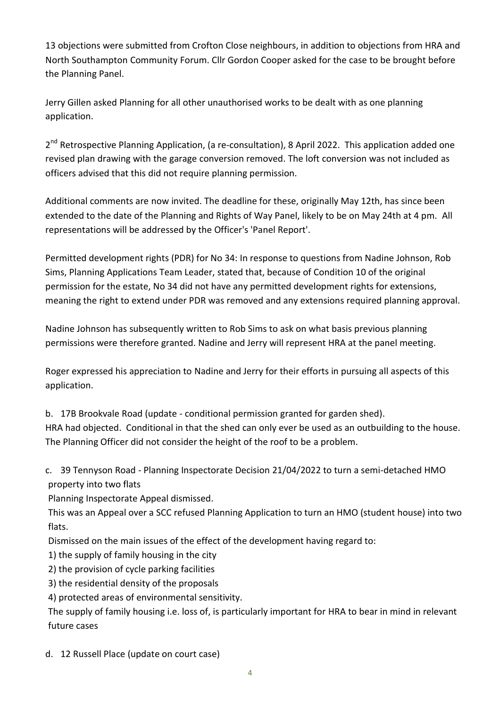13 objections were submitted from Crofton Close neighbours, in addition to objections from HRA and North Southampton Community Forum. Cllr Gordon Cooper asked for the case to be brought before the Planning Panel.

Jerry Gillen asked Planning for all other unauthorised works to be dealt with as one planning application.

2<sup>nd</sup> Retrospective Planning Application, (a re-consultation), 8 April 2022. This application added one revised plan drawing with the garage conversion removed. The loft conversion was not included as officers advised that this did not require planning permission.

Additional comments are now invited. The deadline for these, originally May 12th, has since been extended to the date of the Planning and Rights of Way Panel, likely to be on May 24th at 4 pm. All representations will be addressed by the Officer's 'Panel Report'.

Permitted development rights (PDR) for No 34: In response to questions from Nadine Johnson, Rob Sims, Planning Applications Team Leader, stated that, because of Condition 10 of the original permission for the estate, No 34 did not have any permitted development rights for extensions, meaning the right to extend under PDR was removed and any extensions required planning approval.

Nadine Johnson has subsequently written to Rob Sims to ask on what basis previous planning permissions were therefore granted. Nadine and Jerry will represent HRA at the panel meeting.

Roger expressed his appreciation to Nadine and Jerry for their efforts in pursuing all aspects of this application.

b. 17B Brookvale Road (update - conditional permission granted for garden shed).

HRA had objected. Conditional in that the shed can only ever be used as an outbuilding to the house. The Planning Officer did not consider the height of the roof to be a problem.

c. 39 Tennyson Road - Planning Inspectorate Decision 21/04/2022 to turn a semi-detached HMO property into two flats

Planning Inspectorate Appeal dismissed.

This was an Appeal over a SCC refused Planning Application to turn an HMO (student house) into two flats.

Dismissed on the main issues of the effect of the development having regard to:

- 1) the supply of family housing in the city
- 2) the provision of cycle parking facilities
- 3) the residential density of the proposals
- 4) protected areas of environmental sensitivity.

The supply of family housing i.e. loss of, is particularly important for HRA to bear in mind in relevant future cases

d. 12 Russell Place (update on court case)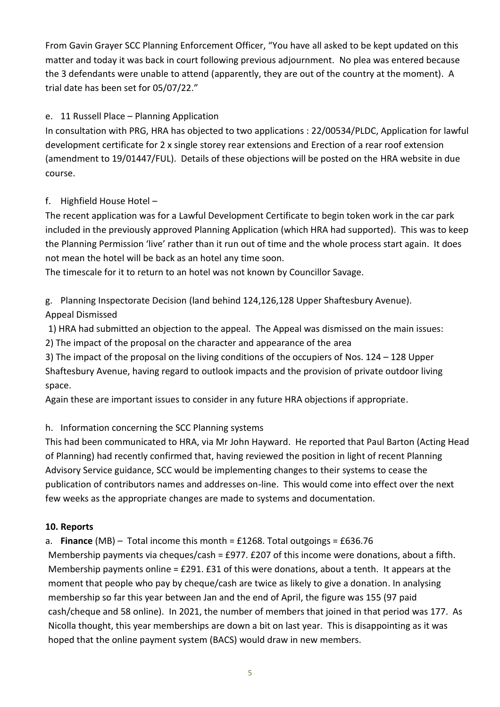From Gavin Grayer SCC Planning Enforcement Officer, "You have all asked to be kept updated on this matter and today it was back in court following previous adjournment. No plea was entered because the 3 defendants were unable to attend (apparently, they are out of the country at the moment). A trial date has been set for 05/07/22."

# e. 11 Russell Place – Planning Application

In consultation with PRG, HRA has objected to two applications : 22/00534/PLDC, Application for lawful development certificate for 2 x single storey rear extensions and Erection of a rear roof extension (amendment to 19/01447/FUL). Details of these objections will be posted on the HRA website in due course.

# f. Highfield House Hotel –

The recent application was for a Lawful Development Certificate to begin token work in the car park included in the previously approved Planning Application (which HRA had supported). This was to keep the Planning Permission 'live' rather than it run out of time and the whole process start again. It does not mean the hotel will be back as an hotel any time soon.

The timescale for it to return to an hotel was not known by Councillor Savage.

g. Planning Inspectorate Decision (land behind 124,126,128 Upper Shaftesbury Avenue). Appeal Dismissed

1) HRA had submitted an objection to the appeal. The Appeal was dismissed on the main issues:

2) The impact of the proposal on the character and appearance of the area

3) The impact of the proposal on the living conditions of the occupiers of Nos. 124 – 128 Upper Shaftesbury Avenue, having regard to outlook impacts and the provision of private outdoor living space.

Again these are important issues to consider in any future HRA objections if appropriate.

# h. Information concerning the SCC Planning systems

This had been communicated to HRA, via Mr John Hayward. He reported that Paul Barton (Acting Head of Planning) had recently confirmed that, having reviewed the position in light of recent Planning Advisory Service guidance, SCC would be implementing changes to their systems to cease the publication of contributors names and addresses on-line. This would come into effect over the next few weeks as the appropriate changes are made to systems and documentation.

# **10. Reports**

a. **Finance** (MB) – Total income this month = £1268. Total outgoings = £636.76

Membership payments via cheques/cash = £977. £207 of this income were donations, about a fifth. Membership payments online = £291. £31 of this were donations, about a tenth. It appears at the moment that people who pay by cheque/cash are twice as likely to give a donation. In analysing membership so far this year between Jan and the end of April, the figure was 155 (97 paid cash/cheque and 58 online). In 2021, the number of members that joined in that period was 177. As Nicolla thought, this year memberships are down a bit on last year. This is disappointing as it was hoped that the online payment system (BACS) would draw in new members.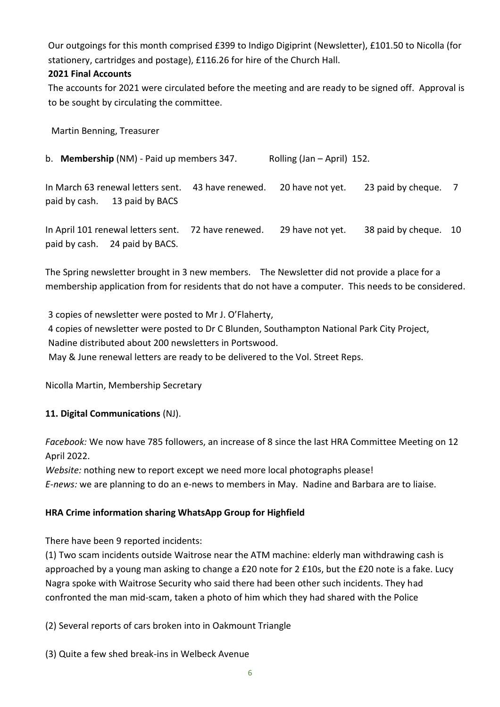Our outgoings for this month comprised £399 to Indigo Digiprint (Newsletter), £101.50 to Nicolla (for stationery, cartridges and postage), £116.26 for hire of the Church Hall.

# **2021 Final Accounts**

The accounts for 2021 were circulated before the meeting and are ready to be signed off. Approval is to be sought by circulating the committee.

Martin Benning, Treasurer

b. **Membership** (NM) - Paid up members 347. Rolling (Jan – April) 152.

In March 63 renewal letters sent. 43 have renewed. 20 have not yet. 23 paid by cheque. 7 paid by cash. 13 paid by BACS

In April 101 renewal letters sent. 72 have renewed. 29 have not yet. 38 paid by cheque. 10 paid by cash. 24 paid by BACS.

The Spring newsletter brought in 3 new members. The Newsletter did not provide a place for a membership application from for residents that do not have a computer. This needs to be considered.

3 copies of newsletter were posted to Mr J. O'Flaherty, 4 copies of newsletter were posted to Dr C Blunden, Southampton National Park City Project, Nadine distributed about 200 newsletters in Portswood. May & June renewal letters are ready to be delivered to the Vol. Street Reps.

Nicolla Martin, Membership Secretary

# **11. Digital Communications** (NJ).

*Facebook:* We now have 785 followers, an increase of 8 since the last HRA Committee Meeting on 12 April 2022.

*Website:* nothing new to report except we need more local photographs please! *E-news:* we are planning to do an e-news to members in May. Nadine and Barbara are to liaise.

# **HRA Crime information sharing WhatsApp Group for Highfield**

There have been 9 reported incidents:

(1) Two scam incidents outside Waitrose near the ATM machine: elderly man withdrawing cash is approached by a young man asking to change a £20 note for 2 £10s, but the £20 note is a fake. Lucy Nagra spoke with Waitrose Security who said there had been other such incidents. They had confronted the man mid-scam, taken a photo of him which they had shared with the Police

(2) Several reports of cars broken into in Oakmount Triangle

(3) Quite a few shed break-ins in Welbeck Avenue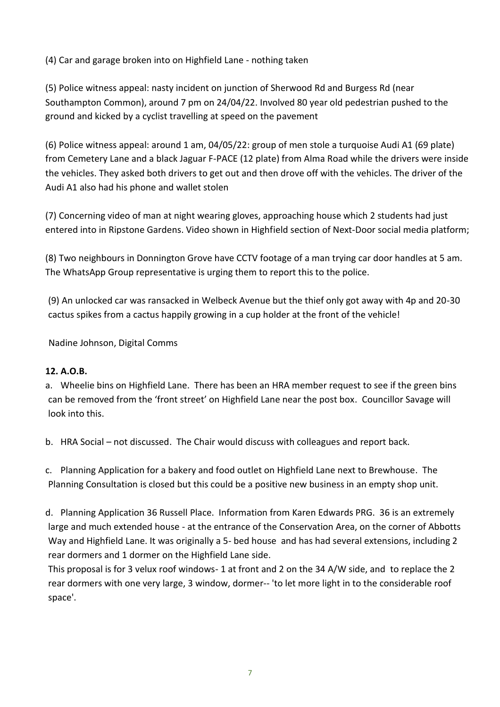(4) Car and garage broken into on Highfield Lane - nothing taken

(5) Police witness appeal: nasty incident on junction of Sherwood Rd and Burgess Rd (near Southampton Common), around 7 pm on 24/04/22. Involved 80 year old pedestrian pushed to the ground and kicked by a cyclist travelling at speed on the pavement

(6) Police witness appeal: around 1 am, 04/05/22: group of men stole a turquoise Audi A1 (69 plate) from Cemetery Lane and a black Jaguar F-PACE (12 plate) from Alma Road while the drivers were inside the vehicles. They asked both drivers to get out and then drove off with the vehicles. The driver of the Audi A1 also had his phone and wallet stolen

(7) Concerning video of man at night wearing gloves, approaching house which 2 students had just entered into in Ripstone Gardens. Video shown in Highfield section of Next-Door social media platform;

(8) Two neighbours in Donnington Grove have CCTV footage of a man trying car door handles at 5 am. The WhatsApp Group representative is urging them to report this to the police.

 (9) An unlocked car was ransacked in Welbeck Avenue but the thief only got away with 4p and 20-30 cactus spikes from a cactus happily growing in a cup holder at the front of the vehicle!

Nadine Johnson, Digital Comms

### **12. A.O.B.**

a. Wheelie bins on Highfield Lane. There has been an HRA member request to see if the green bins can be removed from the 'front street' on Highfield Lane near the post box. Councillor Savage will look into this.

b. HRA Social – not discussed. The Chair would discuss with colleagues and report back.

c. Planning Application for a bakery and food outlet on Highfield Lane next to Brewhouse. The Planning Consultation is closed but this could be a positive new business in an empty shop unit.

d. Planning Application 36 Russell Place. Information from Karen Edwards PRG. 36 is an extremely large and much extended house - at the entrance of the Conservation Area, on the corner of Abbotts Way and Highfield Lane. It was originally a 5- bed house and has had several extensions, including 2 rear dormers and 1 dormer on the Highfield Lane side.

This proposal is for 3 velux roof windows- 1 at front and 2 on the 34 A/W side, and to replace the 2 rear dormers with one very large, 3 window, dormer-- 'to let more light in to the considerable roof space'.